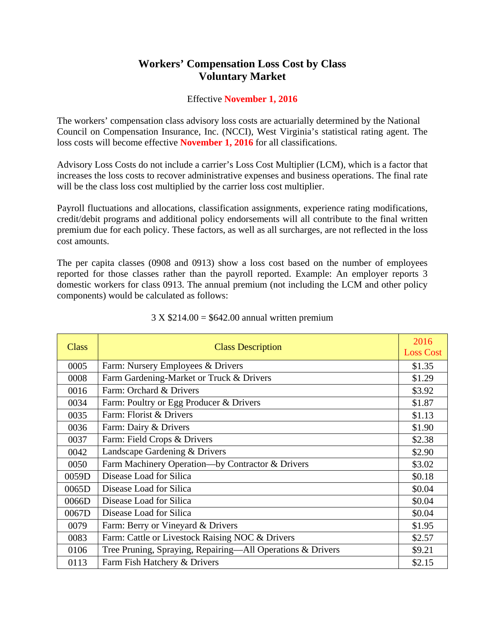## **Workers' Compensation Loss Cost by Class Voluntary Market**

## Effective **November 1, 2016**

The workers' compensation class advisory loss costs are actuarially determined by the National Council on Compensation Insurance, Inc. (NCCI), West Virginia's statistical rating agent. The loss costs will become effective **November 1, 2016** for all classifications.

Advisory Loss Costs do not include a carrier's Loss Cost Multiplier (LCM), which is a factor that increases the loss costs to recover administrative expenses and business operations. The final rate will be the class loss cost multiplied by the carrier loss cost multiplier.

Payroll fluctuations and allocations, classification assignments, experience rating modifications, credit/debit programs and additional policy endorsements will all contribute to the final written premium due for each policy. These factors, as well as all surcharges, are not reflected in the loss cost amounts.

The per capita classes (0908 and 0913) show a loss cost based on the number of employees reported for those classes rather than the payroll reported. Example: An employer reports 3 domestic workers for class 0913. The annual premium (not including the LCM and other policy components) would be calculated as follows:

| <b>Class</b> | <b>Class Description</b>                                   | 2016<br><b>Loss Cost</b> |
|--------------|------------------------------------------------------------|--------------------------|
| 0005         | Farm: Nursery Employees & Drivers                          | \$1.35                   |
| 0008         | Farm Gardening-Market or Truck & Drivers                   | \$1.29                   |
| 0016         | Farm: Orchard & Drivers                                    | \$3.92                   |
| 0034         | Farm: Poultry or Egg Producer & Drivers                    | \$1.87                   |
| 0035         | Farm: Florist & Drivers                                    | \$1.13                   |
| 0036         | Farm: Dairy & Drivers                                      | \$1.90                   |
| 0037         | Farm: Field Crops & Drivers                                | \$2.38                   |
| 0042         | Landscape Gardening & Drivers                              | \$2.90                   |
| 0050         | Farm Machinery Operation—by Contractor & Drivers           | \$3.02                   |
| 0059D        | Disease Load for Silica                                    | \$0.18                   |
| 0065D        | Disease Load for Silica                                    | \$0.04                   |
| 0066D        | Disease Load for Silica                                    | \$0.04                   |
| 0067D        | Disease Load for Silica                                    | \$0.04                   |
| 0079         | Farm: Berry or Vineyard & Drivers                          | \$1.95                   |
| 0083         | Farm: Cattle or Livestock Raising NOC & Drivers            | \$2.57                   |
| 0106         | Tree Pruning, Spraying, Repairing-All Operations & Drivers | \$9.21                   |
| 0113         | Farm Fish Hatchery & Drivers                               | \$2.15                   |

## $3 X $214.00 = $642.00$  annual written premium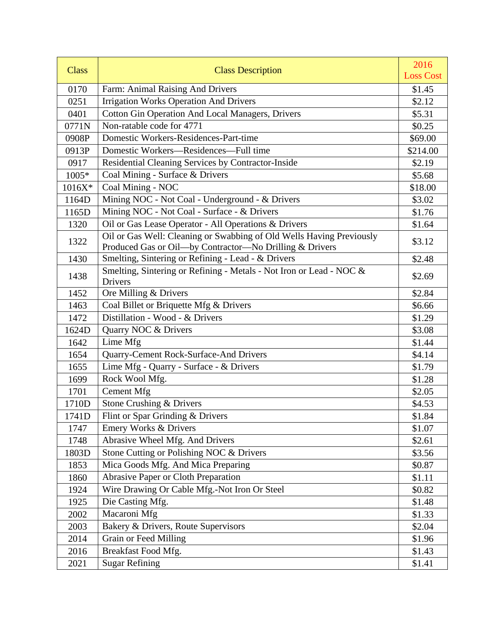| <b>Class</b> | <b>Class Description</b>                                                              | 2016<br><b>Loss Cost</b> |
|--------------|---------------------------------------------------------------------------------------|--------------------------|
|              |                                                                                       |                          |
| 0170         | Farm: Animal Raising And Drivers                                                      | \$1.45                   |
| 0251         | <b>Irrigation Works Operation And Drivers</b>                                         | \$2.12                   |
| 0401         | <b>Cotton Gin Operation And Local Managers, Drivers</b>                               | \$5.31                   |
| 0771N        | Non-ratable code for 4771                                                             | \$0.25                   |
| 0908P        | Domestic Workers-Residences-Part-time                                                 | \$69.00                  |
| 0913P        | Domestic Workers-Residences-Full time                                                 | \$214.00                 |
| 0917         | Residential Cleaning Services by Contractor-Inside                                    | \$2.19                   |
| 1005*        | Coal Mining - Surface & Drivers                                                       | \$5.68                   |
| $1016X*$     | Coal Mining - NOC                                                                     | \$18.00                  |
| 1164D        | Mining NOC - Not Coal - Underground - & Drivers                                       | \$3.02                   |
| 1165D        | Mining NOC - Not Coal - Surface - & Drivers                                           | \$1.76                   |
| 1320         | Oil or Gas Lease Operator - All Operations & Drivers                                  | \$1.64                   |
|              | Oil or Gas Well: Cleaning or Swabbing of Old Wells Having Previously                  |                          |
| 1322         | Produced Gas or Oil-by Contractor-No Drilling & Drivers                               | \$3.12                   |
| 1430         | Smelting, Sintering or Refining - Lead - & Drivers                                    | \$2.48                   |
| 1438         | Smelting, Sintering or Refining - Metals - Not Iron or Lead - NOC &<br><b>Drivers</b> | \$2.69                   |
| 1452         | Ore Milling & Drivers                                                                 | \$2.84                   |
| 1463         | Coal Billet or Briquette Mfg & Drivers                                                | \$6.66                   |
| 1472         | Distillation - Wood - & Drivers                                                       | \$1.29                   |
| 1624D        | Quarry NOC & Drivers                                                                  | \$3.08                   |
| 1642         | Lime Mfg                                                                              | \$1.44                   |
| 1654         | Quarry-Cement Rock-Surface-And Drivers                                                | \$4.14                   |
| 1655         | Lime Mfg - Quarry - Surface - & Drivers                                               | \$1.79                   |
| 1699         | Rock Wool Mfg.                                                                        | \$1.28                   |
| 1701         | <b>Cement Mfg</b>                                                                     | \$2.05                   |
| 1710D        | Stone Crushing & Drivers                                                              | \$4.53                   |
| 1741D        | Flint or Spar Grinding & Drivers                                                      | \$1.84                   |
| 1747         | Emery Works & Drivers                                                                 | \$1.07                   |
| 1748         | Abrasive Wheel Mfg. And Drivers                                                       | \$2.61                   |
| 1803D        | Stone Cutting or Polishing NOC & Drivers                                              | \$3.56                   |
| 1853         | Mica Goods Mfg. And Mica Preparing                                                    | \$0.87                   |
| 1860         | Abrasive Paper or Cloth Preparation                                                   | \$1.11                   |
| 1924         | Wire Drawing Or Cable Mfg.-Not Iron Or Steel                                          | \$0.82                   |
| 1925         | Die Casting Mfg.                                                                      | \$1.48                   |
|              |                                                                                       |                          |
| 2002         | Macaroni Mfg                                                                          | \$1.33                   |
| 2003         | Bakery & Drivers, Route Supervisors                                                   | \$2.04                   |
| 2014         | Grain or Feed Milling                                                                 | \$1.96                   |
| 2016         | Breakfast Food Mfg.                                                                   | \$1.43                   |
| 2021         | <b>Sugar Refining</b>                                                                 | \$1.41                   |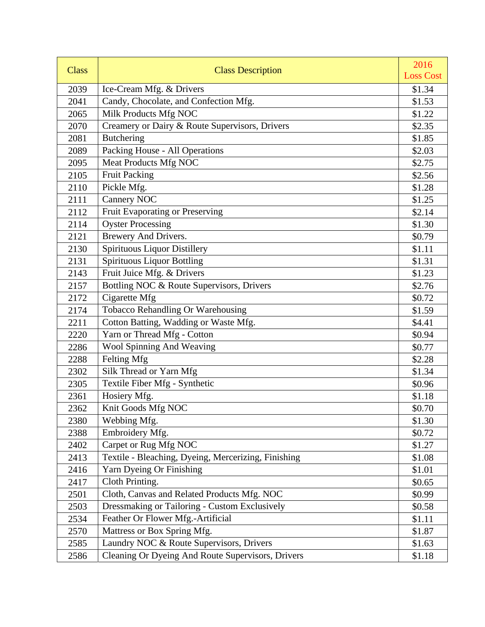| <b>Class</b> | <b>Class Description</b>                            | 2016             |
|--------------|-----------------------------------------------------|------------------|
|              |                                                     | <b>Loss Cost</b> |
| 2039         | Ice-Cream Mfg. & Drivers                            | \$1.34           |
| 2041         | Candy, Chocolate, and Confection Mfg.               | \$1.53           |
| 2065         | Milk Products Mfg NOC                               | \$1.22           |
| 2070         | Creamery or Dairy & Route Supervisors, Drivers      | \$2.35           |
| 2081         | <b>Butchering</b>                                   | \$1.85           |
| 2089         | Packing House - All Operations                      | \$2.03           |
| 2095         | Meat Products Mfg NOC                               | \$2.75           |
| 2105         | <b>Fruit Packing</b>                                | \$2.56           |
| 2110         | Pickle Mfg.                                         | \$1.28           |
| 2111         | Cannery NOC                                         | \$1.25           |
| 2112         | Fruit Evaporating or Preserving                     | \$2.14           |
| 2114         | <b>Oyster Processing</b>                            | \$1.30           |
| 2121         | Brewery And Drivers.                                | \$0.79           |
| 2130         | <b>Spirituous Liquor Distillery</b>                 | \$1.11           |
| 2131         | <b>Spirituous Liquor Bottling</b>                   | \$1.31           |
| 2143         | Fruit Juice Mfg. & Drivers                          | \$1.23           |
| 2157         | Bottling NOC & Route Supervisors, Drivers           | \$2.76           |
| 2172         | Cigarette Mfg                                       | \$0.72           |
| 2174         | Tobacco Rehandling Or Warehousing                   | \$1.59           |
| 2211         | Cotton Batting, Wadding or Waste Mfg.               | \$4.41           |
| 2220         | Yarn or Thread Mfg - Cotton                         | \$0.94           |
| 2286         | Wool Spinning And Weaving                           | \$0.77           |
| 2288         | Felting Mfg                                         | \$2.28           |
| 2302         | Silk Thread or Yarn Mfg                             | \$1.34           |
| 2305         | Textile Fiber Mfg - Synthetic                       | \$0.96           |
| 2361         | Hosiery Mfg.                                        | \$1.18           |
| 2362         | Knit Goods Mfg NOC                                  | \$0.70           |
| 2380         | Webbing Mfg.                                        | \$1.30           |
| 2388         | Embroidery Mfg.                                     | \$0.72           |
| 2402         | Carpet or Rug Mfg NOC                               | \$1.27           |
| 2413         | Textile - Bleaching, Dyeing, Mercerizing, Finishing | \$1.08           |
| 2416         | Yarn Dyeing Or Finishing                            | \$1.01           |
| 2417         | Cloth Printing.                                     | \$0.65           |
| 2501         | Cloth, Canvas and Related Products Mfg. NOC         | \$0.99           |
| 2503         | Dressmaking or Tailoring - Custom Exclusively       | \$0.58           |
| 2534         | Feather Or Flower Mfg.-Artificial                   | \$1.11           |
| 2570         | Mattress or Box Spring Mfg.                         | \$1.87           |
| 2585         | Laundry NOC & Route Supervisors, Drivers            | \$1.63           |
| 2586         | Cleaning Or Dyeing And Route Supervisors, Drivers   |                  |
|              |                                                     | \$1.18           |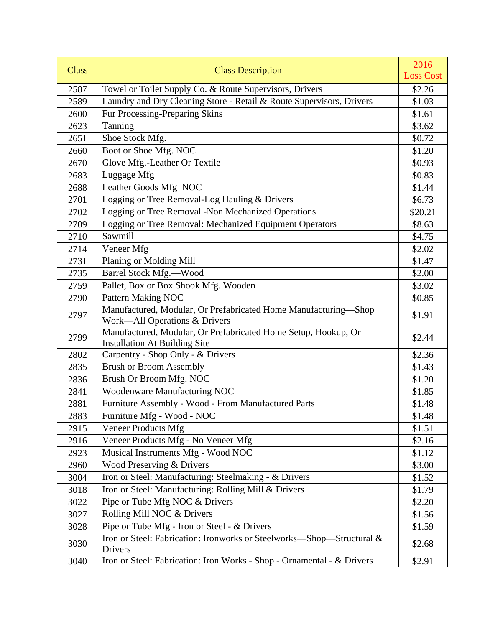| <b>Class</b> | <b>Class Description</b>                                                         | 2016<br><b>Loss Cost</b> |
|--------------|----------------------------------------------------------------------------------|--------------------------|
| 2587         | Towel or Toilet Supply Co. & Route Supervisors, Drivers                          | \$2.26                   |
| 2589         | Laundry and Dry Cleaning Store - Retail & Route Supervisors, Drivers             | \$1.03                   |
| 2600         | Fur Processing-Preparing Skins                                                   | \$1.61                   |
| 2623         | Tanning                                                                          | \$3.62                   |
| 2651         | Shoe Stock Mfg.                                                                  | \$0.72                   |
| 2660         | Boot or Shoe Mfg. NOC                                                            | \$1.20                   |
| 2670         | Glove Mfg.-Leather Or Textile                                                    | \$0.93                   |
| 2683         | Luggage Mfg                                                                      | \$0.83                   |
| 2688         | Leather Goods Mfg NOC                                                            | \$1.44                   |
| 2701         | Logging or Tree Removal-Log Hauling & Drivers                                    | \$6.73                   |
| 2702         | Logging or Tree Removal -Non Mechanized Operations                               | \$20.21                  |
| 2709         | Logging or Tree Removal: Mechanized Equipment Operators                          | \$8.63                   |
| 2710         | Sawmill                                                                          | \$4.75                   |
| 2714         | Veneer Mfg                                                                       | \$2.02                   |
| 2731         | Planing or Molding Mill                                                          | \$1.47                   |
| 2735         | Barrel Stock Mfg.--Wood                                                          | \$2.00                   |
| 2759         | Pallet, Box or Box Shook Mfg. Wooden                                             | \$3.02                   |
| 2790         | Pattern Making NOC                                                               | \$0.85                   |
|              | Manufactured, Modular, Or Prefabricated Home Manufacturing-Shop                  |                          |
| 2797         | Work-All Operations & Drivers                                                    | \$1.91                   |
|              | Manufactured, Modular, Or Prefabricated Home Setup, Hookup, Or                   |                          |
| 2799         | <b>Installation At Building Site</b>                                             | \$2.44                   |
| 2802         | Carpentry - Shop Only - & Drivers                                                | \$2.36                   |
| 2835         | <b>Brush or Broom Assembly</b>                                                   | \$1.43                   |
| 2836         | Brush Or Broom Mfg. NOC                                                          | \$1.20                   |
| 2841         | Woodenware Manufacturing NOC                                                     | \$1.85                   |
| 2881         | Furniture Assembly - Wood - From Manufactured Parts                              | \$1.48                   |
| 2883         | Furniture Mfg - Wood - NOC                                                       | \$1.48                   |
| 2915         | <b>Veneer Products Mfg</b>                                                       | \$1.51                   |
| 2916         | Veneer Products Mfg - No Veneer Mfg                                              | \$2.16                   |
| 2923         | Musical Instruments Mfg - Wood NOC                                               | \$1.12                   |
| 2960         | Wood Preserving & Drivers                                                        | \$3.00                   |
| 3004         | Iron or Steel: Manufacturing: Steelmaking - & Drivers                            | \$1.52                   |
| 3018         | Iron or Steel: Manufacturing: Rolling Mill & Drivers                             | \$1.79                   |
| 3022         | Pipe or Tube Mfg NOC & Drivers                                                   | \$2.20                   |
| 3027         | Rolling Mill NOC & Drivers                                                       | \$1.56                   |
| 3028         | Pipe or Tube Mfg - Iron or Steel - & Drivers                                     | \$1.59                   |
| 3030         | Iron or Steel: Fabrication: Ironworks or Steelworks-Shop-Structural &<br>Drivers | \$2.68                   |
| 3040         | Iron or Steel: Fabrication: Iron Works - Shop - Ornamental - & Drivers           | \$2.91                   |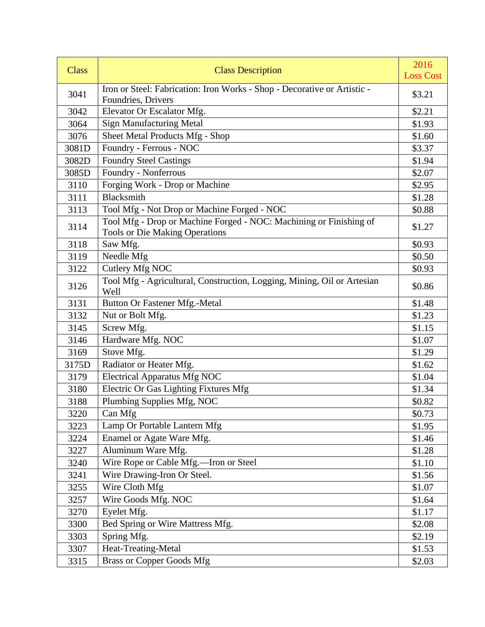| <b>Class</b> | <b>Class Description</b>                                                                                    | 2016<br><b>Loss Cost</b> |
|--------------|-------------------------------------------------------------------------------------------------------------|--------------------------|
| 3041         | Iron or Steel: Fabrication: Iron Works - Shop - Decorative or Artistic -<br>Foundries, Drivers              | \$3.21                   |
| 3042         | Elevator Or Escalator Mfg.                                                                                  | \$2.21                   |
| 3064         | <b>Sign Manufacturing Metal</b>                                                                             | \$1.93                   |
| 3076         | Sheet Metal Products Mfg - Shop                                                                             | \$1.60                   |
| 3081D        | Foundry - Ferrous - NOC                                                                                     | \$3.37                   |
| 3082D        | <b>Foundry Steel Castings</b>                                                                               | \$1.94                   |
| 3085D        | Foundry - Nonferrous                                                                                        | \$2.07                   |
| 3110         | Forging Work - Drop or Machine                                                                              | \$2.95                   |
| 3111         | Blacksmith                                                                                                  | \$1.28                   |
| 3113         | Tool Mfg - Not Drop or Machine Forged - NOC                                                                 | \$0.88                   |
| 3114         | Tool Mfg - Drop or Machine Forged - NOC: Machining or Finishing of<br><b>Tools or Die Making Operations</b> | \$1.27                   |
| 3118         | Saw Mfg.                                                                                                    | \$0.93                   |
| 3119         | Needle Mfg                                                                                                  | \$0.50                   |
| 3122         | Cutlery Mfg NOC                                                                                             | \$0.93                   |
| 3126         | Tool Mfg - Agricultural, Construction, Logging, Mining, Oil or Artesian<br>Well                             | \$0.86                   |
| 3131         | Button Or Fastener Mfg.-Metal                                                                               | \$1.48                   |
| 3132         | Nut or Bolt Mfg.                                                                                            | \$1.23                   |
| 3145         | Screw Mfg.                                                                                                  | \$1.15                   |
| 3146         | Hardware Mfg. NOC                                                                                           | \$1.07                   |
| 3169         | Stove Mfg.                                                                                                  | \$1.29                   |
| 3175D        | Radiator or Heater Mfg.                                                                                     | \$1.62                   |
| 3179         | <b>Electrical Apparatus Mfg NOC</b>                                                                         | \$1.04                   |
| 3180         | Electric Or Gas Lighting Fixtures Mfg                                                                       | \$1.34                   |
| 3188         | Plumbing Supplies Mfg, NOC                                                                                  | \$0.82                   |
| 3220         | Can Mfg                                                                                                     | \$0.73                   |
| 3223         | Lamp Or Portable Lantern Mfg                                                                                | \$1.95                   |
| 3224         | Enamel or Agate Ware Mfg.                                                                                   | \$1.46                   |
| 3227         | Aluminum Ware Mfg.                                                                                          | \$1.28                   |
| 3240         | Wire Rope or Cable Mfg.-Iron or Steel                                                                       | \$1.10                   |
| 3241         | Wire Drawing-Iron Or Steel.                                                                                 | \$1.56                   |
| 3255         | Wire Cloth Mfg                                                                                              | \$1.07                   |
| 3257         | Wire Goods Mfg. NOC                                                                                         | \$1.64                   |
| 3270         | Eyelet Mfg.                                                                                                 | \$1.17                   |
| 3300         | Bed Spring or Wire Mattress Mfg.                                                                            | \$2.08                   |
| 3303         | Spring Mfg.                                                                                                 | \$2.19                   |
| 3307         | Heat-Treating-Metal                                                                                         | \$1.53                   |
| 3315         | <b>Brass or Copper Goods Mfg</b>                                                                            | \$2.03                   |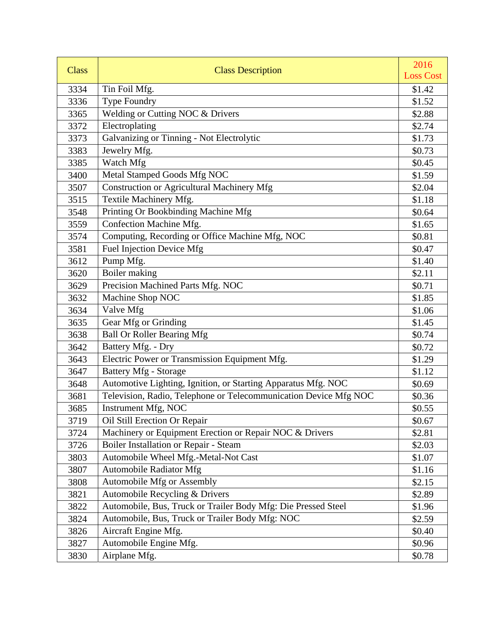| <b>Class</b> | <b>Class Description</b>                                         | 2016<br><b>Loss Cost</b> |
|--------------|------------------------------------------------------------------|--------------------------|
| 3334         | Tin Foil Mfg.                                                    | \$1.42                   |
| 3336         | Type Foundry                                                     | \$1.52                   |
| 3365         | Welding or Cutting NOC & Drivers                                 | \$2.88                   |
| 3372         | Electroplating                                                   | \$2.74                   |
| 3373         | Galvanizing or Tinning - Not Electrolytic                        | \$1.73                   |
| 3383         | Jewelry Mfg.                                                     | \$0.73                   |
| 3385         | Watch Mfg                                                        | \$0.45                   |
| 3400         | Metal Stamped Goods Mfg NOC                                      | \$1.59                   |
| 3507         | <b>Construction or Agricultural Machinery Mfg</b>                | \$2.04                   |
| 3515         | Textile Machinery Mfg.                                           | \$1.18                   |
| 3548         | Printing Or Bookbinding Machine Mfg                              | \$0.64                   |
| 3559         | Confection Machine Mfg.                                          | \$1.65                   |
| 3574         | Computing, Recording or Office Machine Mfg, NOC                  | \$0.81                   |
| 3581         | Fuel Injection Device Mfg                                        | \$0.47                   |
| 3612         | Pump Mfg.                                                        | \$1.40                   |
| 3620         | Boiler making                                                    | \$2.11                   |
| 3629         | Precision Machined Parts Mfg. NOC                                | \$0.71                   |
| 3632         | Machine Shop NOC                                                 | \$1.85                   |
| 3634         | Valve Mfg                                                        | \$1.06                   |
| 3635         | Gear Mfg or Grinding                                             | \$1.45                   |
| 3638         | <b>Ball Or Roller Bearing Mfg</b>                                | \$0.74                   |
| 3642         | Battery Mfg. - Dry                                               | \$0.72                   |
| 3643         | Electric Power or Transmission Equipment Mfg.                    | \$1.29                   |
| 3647         | <b>Battery Mfg - Storage</b>                                     | \$1.12                   |
| 3648         | Automotive Lighting, Ignition, or Starting Apparatus Mfg. NOC    | \$0.69                   |
| 3681         | Television, Radio, Telephone or Telecommunication Device Mfg NOC | \$0.36                   |
| 3685         | Instrument Mfg, NOC                                              | \$0.55                   |
| 3719         | Oil Still Erection Or Repair                                     | \$0.67                   |
| 3724         | Machinery or Equipment Erection or Repair NOC & Drivers          | \$2.81                   |
| 3726         | Boiler Installation or Repair - Steam                            | \$2.03                   |
| 3803         | Automobile Wheel Mfg.-Metal-Not Cast                             | \$1.07                   |
| 3807         | Automobile Radiator Mfg                                          | \$1.16                   |
| 3808         | Automobile Mfg or Assembly                                       | \$2.15                   |
| 3821         | Automobile Recycling & Drivers                                   | \$2.89                   |
| 3822         | Automobile, Bus, Truck or Trailer Body Mfg: Die Pressed Steel    | \$1.96                   |
| 3824         | Automobile, Bus, Truck or Trailer Body Mfg: NOC                  | \$2.59                   |
| 3826         | Aircraft Engine Mfg.                                             | \$0.40                   |
| 3827         | Automobile Engine Mfg.                                           | \$0.96                   |
| 3830         | Airplane Mfg.                                                    | \$0.78                   |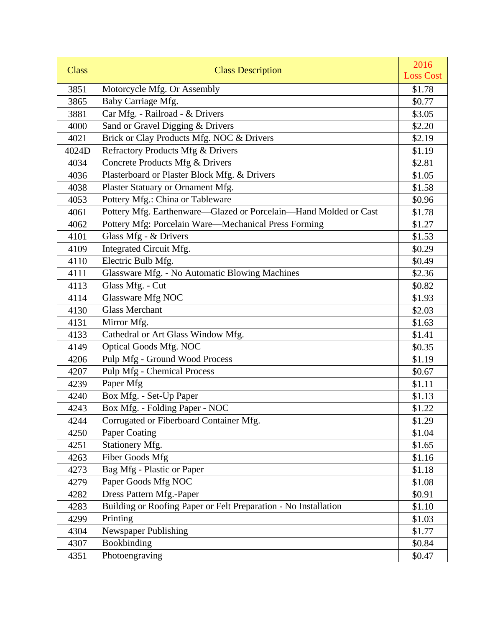| <b>Class</b> | <b>Class Description</b>                                         | 2016             |
|--------------|------------------------------------------------------------------|------------------|
|              |                                                                  | <b>Loss Cost</b> |
| 3851         | Motorcycle Mfg. Or Assembly                                      | \$1.78           |
| 3865         | Baby Carriage Mfg.                                               | \$0.77           |
| 3881         | Car Mfg. - Railroad - & Drivers                                  | \$3.05           |
| 4000         | Sand or Gravel Digging & Drivers                                 | \$2.20           |
| 4021         | Brick or Clay Products Mfg. NOC & Drivers                        | \$2.19           |
| 4024D        | Refractory Products Mfg & Drivers                                | \$1.19           |
| 4034         | Concrete Products Mfg & Drivers                                  | \$2.81           |
| 4036         | Plasterboard or Plaster Block Mfg. & Drivers                     | \$1.05           |
| 4038         | Plaster Statuary or Ornament Mfg.                                | \$1.58           |
| 4053         | Pottery Mfg.: China or Tableware                                 | \$0.96           |
| 4061         | Pottery Mfg. Earthenware-Glazed or Porcelain-Hand Molded or Cast | \$1.78           |
| 4062         | Pottery Mfg: Porcelain Ware-Mechanical Press Forming             | \$1.27           |
| 4101         | Glass Mfg - & Drivers                                            | \$1.53           |
| 4109         | Integrated Circuit Mfg.                                          | \$0.29           |
| 4110         | Electric Bulb Mfg.                                               | \$0.49           |
| 4111         | Glassware Mfg. - No Automatic Blowing Machines                   | \$2.36           |
| 4113         | Glass Mfg. - Cut                                                 | \$0.82           |
| 4114         | Glassware Mfg NOC                                                | \$1.93           |
| 4130         | <b>Glass Merchant</b>                                            | \$2.03           |
| 4131         | Mirror Mfg.                                                      | \$1.63           |
| 4133         | Cathedral or Art Glass Window Mfg.                               | \$1.41           |
| 4149         | <b>Optical Goods Mfg. NOC</b>                                    | \$0.35           |
| 4206         | Pulp Mfg - Ground Wood Process                                   | \$1.19           |
| 4207         | <b>Pulp Mfg - Chemical Process</b>                               | \$0.67           |
| 4239         | Paper Mfg                                                        | \$1.11           |
| 4240         | Box Mfg. - Set-Up Paper                                          | \$1.13           |
| 4243         | Box Mfg. - Folding Paper - NOC                                   | \$1.22           |
| 4244         | Corrugated or Fiberboard Container Mfg.                          | \$1.29           |
| 4250         | Paper Coating                                                    | \$1.04           |
| 4251         | Stationery Mfg.                                                  | \$1.65           |
| 4263         | Fiber Goods Mfg                                                  | \$1.16           |
| 4273         | Bag Mfg - Plastic or Paper                                       | \$1.18           |
| 4279         | Paper Goods Mfg NOC                                              | \$1.08           |
| 4282         | Dress Pattern Mfg.-Paper                                         | \$0.91           |
| 4283         | Building or Roofing Paper or Felt Preparation - No Installation  | \$1.10           |
| 4299         | Printing                                                         | \$1.03           |
| 4304         | Newspaper Publishing                                             | \$1.77           |
| 4307         | Bookbinding                                                      | \$0.84           |
| 4351         | Photoengraving                                                   | \$0.47           |
|              |                                                                  |                  |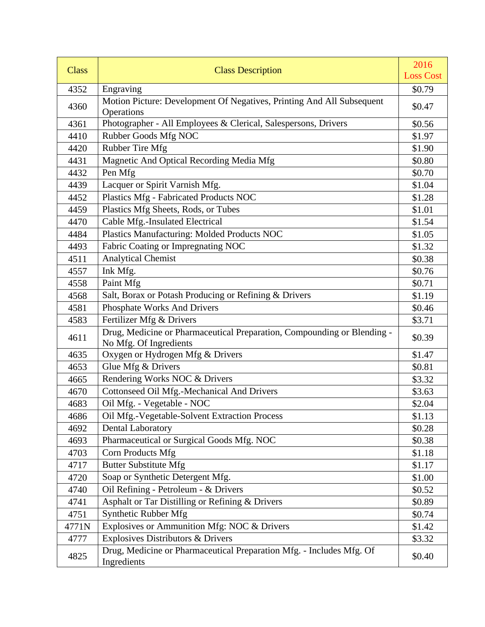| <b>Class</b> | <b>Class Description</b>                                                                          | 2016<br><b>Loss Cost</b> |
|--------------|---------------------------------------------------------------------------------------------------|--------------------------|
| 4352         | Engraving                                                                                         | \$0.79                   |
| 4360         | Motion Picture: Development Of Negatives, Printing And All Subsequent<br>Operations               | \$0.47                   |
| 4361         | Photographer - All Employees & Clerical, Salespersons, Drivers                                    | \$0.56                   |
| 4410         | Rubber Goods Mfg NOC                                                                              | \$1.97                   |
| 4420         | <b>Rubber Tire Mfg</b>                                                                            | \$1.90                   |
| 4431         | Magnetic And Optical Recording Media Mfg                                                          | \$0.80                   |
| 4432         | Pen Mfg                                                                                           | \$0.70                   |
| 4439         | Lacquer or Spirit Varnish Mfg.                                                                    | \$1.04                   |
| 4452         | Plastics Mfg - Fabricated Products NOC                                                            | \$1.28                   |
| 4459         | Plastics Mfg Sheets, Rods, or Tubes                                                               | \$1.01                   |
| 4470         | Cable Mfg.-Insulated Electrical                                                                   | \$1.54                   |
| 4484         | Plastics Manufacturing: Molded Products NOC                                                       | \$1.05                   |
| 4493         | Fabric Coating or Impregnating NOC                                                                | \$1.32                   |
| 4511         | <b>Analytical Chemist</b>                                                                         | \$0.38                   |
| 4557         | Ink Mfg.                                                                                          | \$0.76                   |
| 4558         | Paint Mfg                                                                                         | \$0.71                   |
| 4568         | Salt, Borax or Potash Producing or Refining & Drivers                                             | \$1.19                   |
| 4581         | Phosphate Works And Drivers                                                                       | \$0.46                   |
| 4583         | Fertilizer Mfg & Drivers                                                                          | \$3.71                   |
| 4611         | Drug, Medicine or Pharmaceutical Preparation, Compounding or Blending -<br>No Mfg. Of Ingredients | \$0.39                   |
| 4635         | Oxygen or Hydrogen Mfg & Drivers                                                                  | \$1.47                   |
| 4653         | Glue Mfg & Drivers                                                                                | \$0.81                   |
| 4665         | Rendering Works NOC & Drivers                                                                     | \$3.32                   |
| 4670         | Cottonseed Oil Mfg.-Mechanical And Drivers                                                        | \$3.63                   |
| 4683         | Oil Mfg. - Vegetable - NOC                                                                        | \$2.04                   |
| 4686         | Oil Mfg.-Vegetable-Solvent Extraction Process                                                     | \$1.13                   |
| 4692         | <b>Dental Laboratory</b>                                                                          | \$0.28                   |
| 4693         | Pharmaceutical or Surgical Goods Mfg. NOC                                                         | \$0.38                   |
| 4703         | Corn Products Mfg                                                                                 | \$1.18                   |
| 4717         | <b>Butter Substitute Mfg</b>                                                                      | \$1.17                   |
| 4720         | Soap or Synthetic Detergent Mfg.                                                                  | \$1.00                   |
| 4740         | Oil Refining - Petroleum - & Drivers                                                              | \$0.52                   |
| 4741         | Asphalt or Tar Distilling or Refining & Drivers                                                   | \$0.89                   |
| 4751         | Synthetic Rubber Mfg                                                                              | \$0.74                   |
| 4771N        | Explosives or Ammunition Mfg: NOC & Drivers                                                       | \$1.42                   |
| 4777         | Explosives Distributors & Drivers                                                                 |                          |
|              |                                                                                                   | \$3.32                   |
| 4825         | Drug, Medicine or Pharmaceutical Preparation Mfg. - Includes Mfg. Of<br>Ingredients               | \$0.40                   |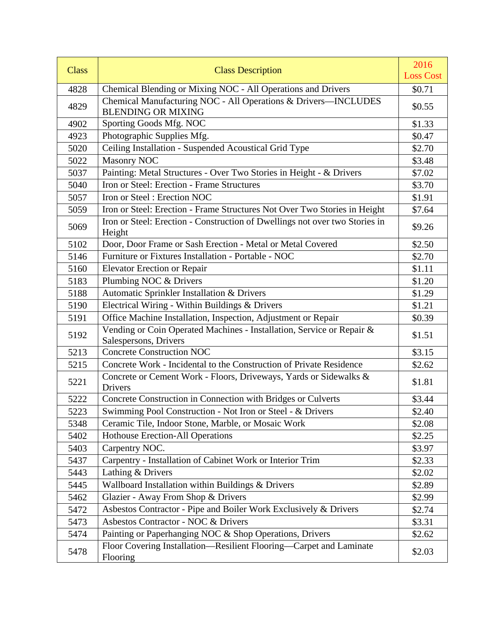| <b>Class</b> | <b>Class Description</b>                                                                       | 2016<br><b>Loss Cost</b> |
|--------------|------------------------------------------------------------------------------------------------|--------------------------|
| 4828         | Chemical Blending or Mixing NOC - All Operations and Drivers                                   | \$0.71                   |
| 4829         | Chemical Manufacturing NOC - All Operations & Drivers-INCLUDES<br><b>BLENDING OR MIXING</b>    | \$0.55                   |
| 4902         | Sporting Goods Mfg. NOC                                                                        | \$1.33                   |
| 4923         | Photographic Supplies Mfg.                                                                     | \$0.47                   |
| 5020         | Ceiling Installation - Suspended Acoustical Grid Type                                          | \$2.70                   |
| 5022         | <b>Masonry NOC</b>                                                                             | \$3.48                   |
| 5037         | Painting: Metal Structures - Over Two Stories in Height - & Drivers                            | \$7.02                   |
| 5040         | Iron or Steel: Erection - Frame Structures                                                     | \$3.70                   |
| 5057         | Iron or Steel: Erection NOC                                                                    | \$1.91                   |
| 5059         | Iron or Steel: Erection - Frame Structures Not Over Two Stories in Height                      | \$7.64                   |
| 5069         | Iron or Steel: Erection - Construction of Dwellings not over two Stories in<br>Height          | \$9.26                   |
| 5102         | Door, Door Frame or Sash Erection - Metal or Metal Covered                                     | \$2.50                   |
| 5146         | Furniture or Fixtures Installation - Portable - NOC                                            | \$2.70                   |
| 5160         | <b>Elevator Erection or Repair</b>                                                             | \$1.11                   |
| 5183         | Plumbing NOC & Drivers                                                                         | \$1.20                   |
| 5188         | Automatic Sprinkler Installation & Drivers                                                     | \$1.29                   |
| 5190         | Electrical Wiring - Within Buildings & Drivers                                                 | \$1.21                   |
| 5191         | Office Machine Installation, Inspection, Adjustment or Repair                                  | \$0.39                   |
| 5192         | Vending or Coin Operated Machines - Installation, Service or Repair &<br>Salespersons, Drivers | \$1.51                   |
| 5213         | <b>Concrete Construction NOC</b>                                                               | \$3.15                   |
| 5215         | Concrete Work - Incidental to the Construction of Private Residence                            | \$2.62                   |
| 5221         | Concrete or Cement Work - Floors, Driveways, Yards or Sidewalks &<br>Drivers                   | \$1.81                   |
| 5222         | Concrete Construction in Connection with Bridges or Culverts                                   | \$3.44                   |
| 5223         | Swimming Pool Construction - Not Iron or Steel - & Drivers                                     | \$2.40                   |
| 5348         | Ceramic Tile, Indoor Stone, Marble, or Mosaic Work                                             | \$2.08                   |
| 5402         | Hothouse Erection-All Operations                                                               | \$2.25                   |
| 5403         | Carpentry NOC.                                                                                 | \$3.97                   |
| 5437         | Carpentry - Installation of Cabinet Work or Interior Trim                                      | \$2.33                   |
| 5443         | Lathing & Drivers                                                                              | \$2.02                   |
| 5445         | Wallboard Installation within Buildings & Drivers                                              | \$2.89                   |
| 5462         | Glazier - Away From Shop & Drivers                                                             | \$2.99                   |
| 5472         | Asbestos Contractor - Pipe and Boiler Work Exclusively & Drivers                               | \$2.74                   |
| 5473         | Asbestos Contractor - NOC & Drivers                                                            | \$3.31                   |
| 5474         | Painting or Paperhanging NOC & Shop Operations, Drivers                                        | \$2.62                   |
| 5478         | Floor Covering Installation—Resilient Flooring—Carpet and Laminate<br>Flooring                 | \$2.03                   |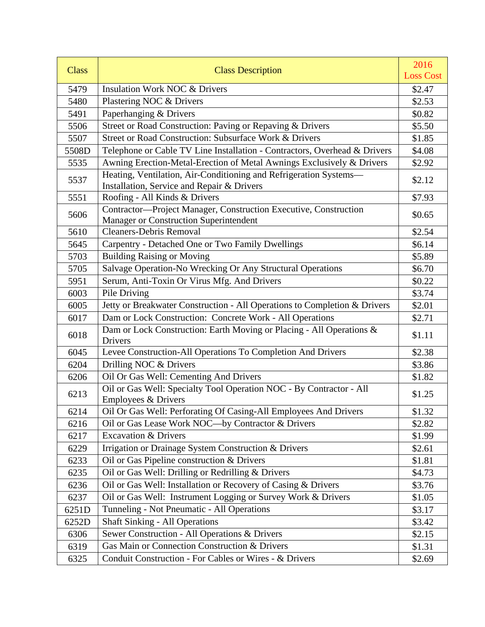| <b>Class</b> | <b>Class Description</b>                                                                                        | 2016             |
|--------------|-----------------------------------------------------------------------------------------------------------------|------------------|
|              |                                                                                                                 | <b>Loss Cost</b> |
| 5479         | <b>Insulation Work NOC &amp; Drivers</b>                                                                        | \$2.47           |
| 5480         | Plastering NOC & Drivers                                                                                        | \$2.53           |
| 5491         | Paperhanging & Drivers                                                                                          | \$0.82           |
| 5506         | Street or Road Construction: Paving or Repaving & Drivers                                                       | \$5.50           |
| 5507         | Street or Road Construction: Subsurface Work & Drivers                                                          | \$1.85           |
| 5508D        | Telephone or Cable TV Line Installation - Contractors, Overhead & Drivers                                       | \$4.08           |
| 5535         | Awning Erection-Metal-Erection of Metal Awnings Exclusively & Drivers                                           | \$2.92           |
| 5537         | Heating, Ventilation, Air-Conditioning and Refrigeration Systems-<br>Installation, Service and Repair & Drivers | \$2.12           |
| 5551         | Roofing - All Kinds & Drivers                                                                                   | \$7.93           |
| 5606         | Contractor-Project Manager, Construction Executive, Construction<br>Manager or Construction Superintendent      | \$0.65           |
| 5610         | <b>Cleaners-Debris Removal</b>                                                                                  | \$2.54           |
| 5645         | Carpentry - Detached One or Two Family Dwellings                                                                | \$6.14           |
| 5703         | <b>Building Raising or Moving</b>                                                                               | \$5.89           |
| 5705         | Salvage Operation-No Wrecking Or Any Structural Operations                                                      | \$6.70           |
| 5951         | Serum, Anti-Toxin Or Virus Mfg. And Drivers                                                                     | \$0.22           |
| 6003         | Pile Driving                                                                                                    | \$3.74           |
| 6005         | Jetty or Breakwater Construction - All Operations to Completion & Drivers                                       | \$2.01           |
| 6017         | Dam or Lock Construction: Concrete Work - All Operations                                                        | \$2.71           |
| 6018         | Dam or Lock Construction: Earth Moving or Placing - All Operations &<br><b>Drivers</b>                          | \$1.11           |
| 6045         | Levee Construction-All Operations To Completion And Drivers                                                     | \$2.38           |
| 6204         | Drilling NOC & Drivers                                                                                          | \$3.86           |
| 6206         | Oil Or Gas Well: Cementing And Drivers                                                                          | \$1.82           |
| 6213         | Oil or Gas Well: Specialty Tool Operation NOC - By Contractor - All<br>Employees & Drivers                      | \$1.25           |
| 6214         | Oil Or Gas Well: Perforating Of Casing-All Employees And Drivers                                                | \$1.32           |
| 6216         | Oil or Gas Lease Work NOC-by Contractor & Drivers                                                               | \$2.82           |
| 6217         | <b>Excavation &amp; Drivers</b>                                                                                 | \$1.99           |
| 6229         | Irrigation or Drainage System Construction & Drivers                                                            | \$2.61           |
| 6233         | Oil or Gas Pipeline construction & Drivers                                                                      | \$1.81           |
| 6235         | Oil or Gas Well: Drilling or Redrilling & Drivers                                                               | \$4.73           |
| 6236         | Oil or Gas Well: Installation or Recovery of Casing & Drivers                                                   | \$3.76           |
| 6237         | Oil or Gas Well: Instrument Logging or Survey Work & Drivers                                                    | \$1.05           |
| 6251D        | Tunneling - Not Pneumatic - All Operations                                                                      | \$3.17           |
| 6252D        | <b>Shaft Sinking - All Operations</b>                                                                           | \$3.42           |
| 6306         | Sewer Construction - All Operations & Drivers                                                                   | \$2.15           |
| 6319         | Gas Main or Connection Construction & Drivers                                                                   | \$1.31           |
| 6325         | Conduit Construction - For Cables or Wires - & Drivers                                                          | \$2.69           |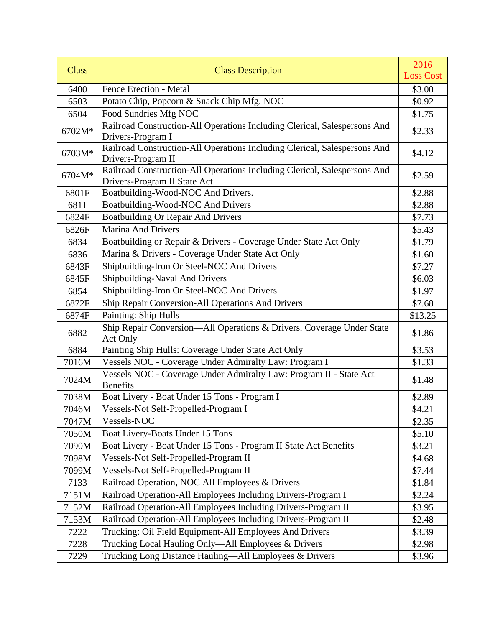| <b>Class</b> | <b>Class Description</b>                                                                                  | 2016             |
|--------------|-----------------------------------------------------------------------------------------------------------|------------------|
|              |                                                                                                           | <b>Loss Cost</b> |
| 6400         | Fence Erection - Metal                                                                                    | \$3.00           |
| 6503         | Potato Chip, Popcorn & Snack Chip Mfg. NOC                                                                | \$0.92           |
| 6504         | Food Sundries Mfg NOC                                                                                     | \$1.75           |
| 6702M*       | Railroad Construction-All Operations Including Clerical, Salespersons And<br>Drivers-Program I            | \$2.33           |
| 6703M*       | Railroad Construction-All Operations Including Clerical, Salespersons And<br>Drivers-Program II           | \$4.12           |
| 6704M*       | Railroad Construction-All Operations Including Clerical, Salespersons And<br>Drivers-Program II State Act | \$2.59           |
| 6801F        | Boatbuilding-Wood-NOC And Drivers.                                                                        | \$2.88           |
| 6811         | Boatbuilding-Wood-NOC And Drivers                                                                         | \$2.88           |
| 6824F        | <b>Boatbuilding Or Repair And Drivers</b>                                                                 | \$7.73           |
| 6826F        | <b>Marina And Drivers</b>                                                                                 | \$5.43           |
| 6834         | Boatbuilding or Repair & Drivers - Coverage Under State Act Only                                          | \$1.79           |
| 6836         | Marina & Drivers - Coverage Under State Act Only                                                          | \$1.60           |
| 6843F        | Shipbuilding-Iron Or Steel-NOC And Drivers                                                                | \$7.27           |
| 6845F        | Shipbuilding-Naval And Drivers                                                                            | \$6.03           |
| 6854         | Shipbuilding-Iron Or Steel-NOC And Drivers                                                                | \$1.97           |
| 6872F        | Ship Repair Conversion-All Operations And Drivers                                                         | \$7.68           |
| 6874F        | Painting: Ship Hulls                                                                                      | \$13.25          |
| 6882         | Ship Repair Conversion-All Operations & Drivers. Coverage Under State<br>Act Only                         | \$1.86           |
| 6884         | Painting Ship Hulls: Coverage Under State Act Only                                                        | \$3.53           |
| 7016M        | Vessels NOC - Coverage Under Admiralty Law: Program I                                                     | \$1.33           |
| 7024M        | Vessels NOC - Coverage Under Admiralty Law: Program II - State Act<br><b>Benefits</b>                     | \$1.48           |
| 7038M        | Boat Livery - Boat Under 15 Tons - Program I                                                              | \$2.89           |
| 7046M        | Vessels-Not Self-Propelled-Program I                                                                      | \$4.21           |
| 7047M        | Vessels-NOC                                                                                               | \$2.35           |
| 7050M        | Boat Livery-Boats Under 15 Tons                                                                           | \$5.10           |
| 7090M        | Boat Livery - Boat Under 15 Tons - Program II State Act Benefits                                          | \$3.21           |
| 7098M        | Vessels-Not Self-Propelled-Program II                                                                     | \$4.68           |
| 7099M        | Vessels-Not Self-Propelled-Program II                                                                     | \$7.44           |
| 7133         | Railroad Operation, NOC All Employees & Drivers                                                           | \$1.84           |
| 7151M        | Railroad Operation-All Employees Including Drivers-Program I                                              | \$2.24           |
| 7152M        | Railroad Operation-All Employees Including Drivers-Program II                                             | \$3.95           |
| 7153M        | Railroad Operation-All Employees Including Drivers-Program II                                             | \$2.48           |
| 7222         | Trucking: Oil Field Equipment-All Employees And Drivers                                                   | \$3.39           |
| 7228         | Trucking Local Hauling Only-All Employees & Drivers                                                       | \$2.98           |
| 7229         | Trucking Long Distance Hauling-All Employees & Drivers                                                    | \$3.96           |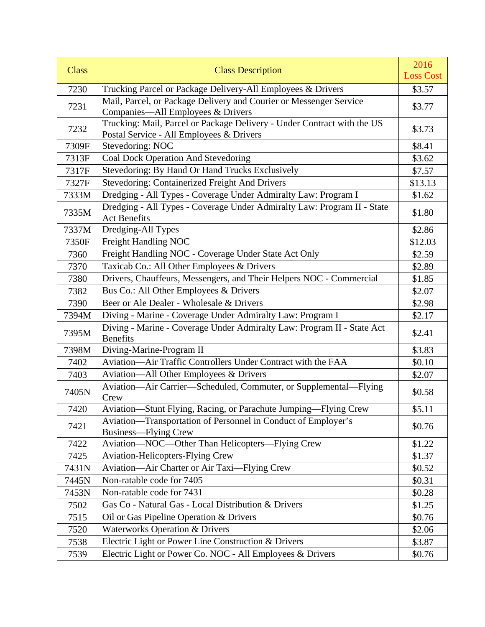| <b>Class</b> | <b>Class Description</b>                                                                                            | 2016<br><b>Loss Cost</b> |
|--------------|---------------------------------------------------------------------------------------------------------------------|--------------------------|
| 7230         | Trucking Parcel or Package Delivery-All Employees & Drivers                                                         | \$3.57                   |
| 7231         | Mail, Parcel, or Package Delivery and Courier or Messenger Service<br>Companies-All Employees & Drivers             | \$3.77                   |
| 7232         | Trucking: Mail, Parcel or Package Delivery - Under Contract with the US<br>Postal Service - All Employees & Drivers | \$3.73                   |
| 7309F        | Stevedoring: NOC                                                                                                    | \$8.41                   |
| 7313F        | Coal Dock Operation And Stevedoring                                                                                 | \$3.62                   |
| 7317F        | Stevedoring: By Hand Or Hand Trucks Exclusively                                                                     | \$7.57                   |
| 7327F        | Stevedoring: Containerized Freight And Drivers                                                                      | \$13.13                  |
| 7333M        | Dredging - All Types - Coverage Under Admiralty Law: Program I                                                      | \$1.62                   |
| 7335M        | Dredging - All Types - Coverage Under Admiralty Law: Program II - State<br><b>Act Benefits</b>                      | \$1.80                   |
| 7337M        | Dredging-All Types                                                                                                  | \$2.86                   |
| 7350F        | Freight Handling NOC                                                                                                | \$12.03                  |
| 7360         | Freight Handling NOC - Coverage Under State Act Only                                                                | \$2.59                   |
| 7370         | Taxicab Co.: All Other Employees & Drivers                                                                          | \$2.89                   |
| 7380         | Drivers, Chauffeurs, Messengers, and Their Helpers NOC - Commercial                                                 | \$1.85                   |
| 7382         | Bus Co.: All Other Employees & Drivers                                                                              | \$2.07                   |
| 7390         | Beer or Ale Dealer - Wholesale & Drivers                                                                            | \$2.98                   |
| 7394M        | Diving - Marine - Coverage Under Admiralty Law: Program I                                                           | \$2.17                   |
| 7395M        | Diving - Marine - Coverage Under Admiralty Law: Program II - State Act<br><b>Benefits</b>                           | \$2.41                   |
| 7398M        | Diving-Marine-Program II                                                                                            | \$3.83                   |
| 7402         | Aviation—Air Traffic Controllers Under Contract with the FAA                                                        | \$0.10                   |
| 7403         | Aviation-All Other Employees & Drivers                                                                              | \$2.07                   |
| 7405N        | Aviation-Air Carrier-Scheduled, Commuter, or Supplemental-Flying<br>Crew                                            | \$0.58                   |
| 7420         | Aviation-Stunt Flying, Racing, or Parachute Jumping-Flying Crew                                                     | \$5.11                   |
| 7421         | Aviation-Transportation of Personnel in Conduct of Employer's<br>Business—Flying Crew                               | \$0.76                   |
| 7422         | Aviation-NOC-Other Than Helicopters-Flying Crew                                                                     | \$1.22                   |
| 7425         | Aviation-Helicopters-Flying Crew                                                                                    | \$1.37                   |
| 7431N        | Aviation—Air Charter or Air Taxi—Flying Crew                                                                        | \$0.52                   |
| 7445N        | Non-ratable code for 7405                                                                                           | \$0.31                   |
| 7453N        | Non-ratable code for 7431                                                                                           | \$0.28                   |
| 7502         | Gas Co - Natural Gas - Local Distribution & Drivers                                                                 | \$1.25                   |
| 7515         | Oil or Gas Pipeline Operation & Drivers                                                                             | \$0.76                   |
| 7520         | Waterworks Operation & Drivers                                                                                      | \$2.06                   |
| 7538         | Electric Light or Power Line Construction & Drivers                                                                 | \$3.87                   |
| 7539         | Electric Light or Power Co. NOC - All Employees & Drivers                                                           | \$0.76                   |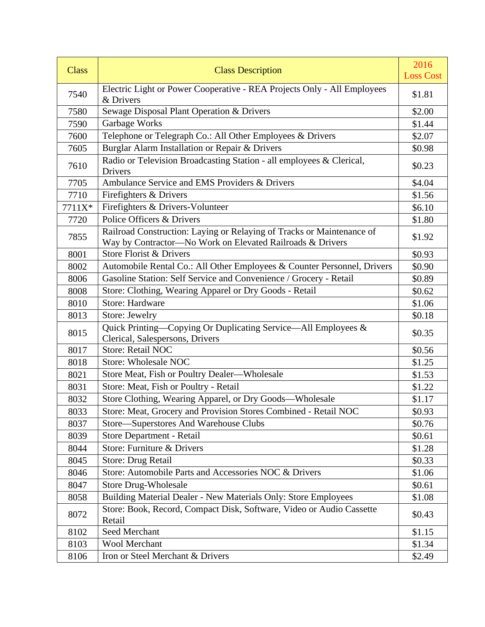| <b>Class</b> | <b>Class Description</b>                                                                                                           | 2016<br><b>Loss Cost</b> |
|--------------|------------------------------------------------------------------------------------------------------------------------------------|--------------------------|
| 7540         | Electric Light or Power Cooperative - REA Projects Only - All Employees<br>& Drivers                                               | \$1.81                   |
| 7580         | Sewage Disposal Plant Operation & Drivers                                                                                          | \$2.00                   |
| 7590         | Garbage Works                                                                                                                      | \$1.44                   |
| 7600         | Telephone or Telegraph Co.: All Other Employees & Drivers                                                                          | \$2.07                   |
| 7605         | Burglar Alarm Installation or Repair & Drivers                                                                                     | \$0.98                   |
| 7610         | Radio or Television Broadcasting Station - all employees & Clerical,<br>Drivers                                                    | \$0.23                   |
| 7705         | Ambulance Service and EMS Providers & Drivers                                                                                      | \$4.04                   |
| 7710         | Firefighters & Drivers                                                                                                             | \$1.56                   |
| 7711X*       | Firefighters & Drivers-Volunteer                                                                                                   | \$6.10                   |
| 7720         | Police Officers & Drivers                                                                                                          | \$1.80                   |
| 7855         | Railroad Construction: Laying or Relaying of Tracks or Maintenance of<br>Way by Contractor-No Work on Elevated Railroads & Drivers | \$1.92                   |
| 8001         | Store Florist & Drivers                                                                                                            | \$0.93                   |
| 8002         | Automobile Rental Co.: All Other Employees & Counter Personnel, Drivers                                                            | \$0.90                   |
| 8006         | Gasoline Station: Self Service and Convenience / Grocery - Retail                                                                  | \$0.89                   |
| 8008         | Store: Clothing, Wearing Apparel or Dry Goods - Retail                                                                             | \$0.62                   |
| 8010         | <b>Store: Hardware</b>                                                                                                             | \$1.06                   |
| 8013         | Store: Jewelry                                                                                                                     | \$0.18                   |
| 8015         | Quick Printing-Copying Or Duplicating Service-All Employees &<br>Clerical, Salespersons, Drivers                                   | \$0.35                   |
| 8017         | Store: Retail NOC                                                                                                                  | \$0.56                   |
| 8018         | <b>Store: Wholesale NOC</b>                                                                                                        | \$1.25                   |
| 8021         | Store Meat, Fish or Poultry Dealer-Wholesale                                                                                       | \$1.53                   |
| 8031         | Store: Meat, Fish or Poultry - Retail                                                                                              | \$1.22                   |
| 8032         | Store Clothing, Wearing Apparel, or Dry Goods-Wholesale                                                                            | \$1.17                   |
| 8033         | Store: Meat, Grocery and Provision Stores Combined - Retail NOC                                                                    | \$0.93                   |
| 8037         | Store-Superstores And Warehouse Clubs                                                                                              | \$0.76                   |
| 8039         | Store Department - Retail                                                                                                          | \$0.61                   |
| 8044         | Store: Furniture & Drivers                                                                                                         | \$1.28                   |
| 8045         | Store: Drug Retail                                                                                                                 | \$0.33                   |
| 8046         | Store: Automobile Parts and Accessories NOC & Drivers                                                                              | \$1.06                   |
| 8047         | <b>Store Drug-Wholesale</b>                                                                                                        | \$0.61                   |
| 8058         | Building Material Dealer - New Materials Only: Store Employees                                                                     | \$1.08                   |
| 8072         | Store: Book, Record, Compact Disk, Software, Video or Audio Cassette<br>Retail                                                     | \$0.43                   |
| 8102         | Seed Merchant                                                                                                                      | \$1.15                   |
| 8103         | <b>Wool Merchant</b>                                                                                                               | \$1.34                   |
| 8106         | Iron or Steel Merchant & Drivers                                                                                                   | \$2.49                   |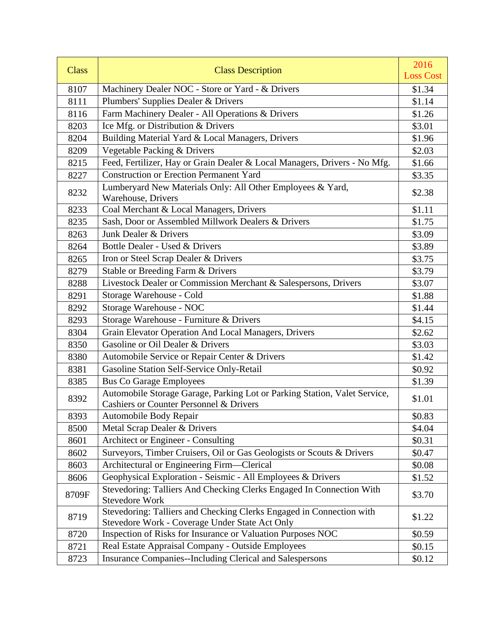| <b>Class</b> | <b>Class Description</b>                                                                                                        | 2016<br><b>Loss Cost</b> |
|--------------|---------------------------------------------------------------------------------------------------------------------------------|--------------------------|
| 8107         | Machinery Dealer NOC - Store or Yard - & Drivers                                                                                | \$1.34                   |
|              | Plumbers' Supplies Dealer & Drivers                                                                                             | \$1.14                   |
| 8111         | Farm Machinery Dealer - All Operations & Drivers                                                                                |                          |
| 8116         |                                                                                                                                 | \$1.26                   |
| 8203         | Ice Mfg. or Distribution & Drivers                                                                                              | \$3.01                   |
| 8204         | Building Material Yard & Local Managers, Drivers                                                                                | \$1.96                   |
| 8209         | Vegetable Packing & Drivers                                                                                                     | \$2.03                   |
| 8215         | Feed, Fertilizer, Hay or Grain Dealer & Local Managers, Drivers - No Mfg.                                                       | \$1.66                   |
| 8227         | <b>Construction or Erection Permanent Yard</b>                                                                                  | \$3.35                   |
| 8232         | Lumberyard New Materials Only: All Other Employees & Yard,<br>Warehouse, Drivers                                                | \$2.38                   |
| 8233         | Coal Merchant & Local Managers, Drivers                                                                                         | \$1.11                   |
| 8235         | Sash, Door or Assembled Millwork Dealers & Drivers                                                                              | \$1.75                   |
| 8263         | Junk Dealer & Drivers                                                                                                           | \$3.09                   |
| 8264         | Bottle Dealer - Used & Drivers                                                                                                  | \$3.89                   |
| 8265         | Iron or Steel Scrap Dealer & Drivers                                                                                            | \$3.75                   |
| 8279         | Stable or Breeding Farm & Drivers                                                                                               | \$3.79                   |
| 8288         | Livestock Dealer or Commission Merchant & Salespersons, Drivers                                                                 | \$3.07                   |
| 8291         | Storage Warehouse - Cold                                                                                                        | \$1.88                   |
| 8292         | Storage Warehouse - NOC                                                                                                         | \$1.44                   |
| 8293         | Storage Warehouse - Furniture & Drivers                                                                                         | \$4.15                   |
| 8304         | Grain Elevator Operation And Local Managers, Drivers                                                                            | \$2.62                   |
| 8350         | Gasoline or Oil Dealer & Drivers                                                                                                | \$3.03                   |
| 8380         | Automobile Service or Repair Center & Drivers                                                                                   | \$1.42                   |
| 8381         | Gasoline Station Self-Service Only-Retail                                                                                       | \$0.92                   |
| 8385         | <b>Bus Co Garage Employees</b>                                                                                                  | \$1.39                   |
| 8392         | Automobile Storage Garage, Parking Lot or Parking Station, Valet Service,<br><b>Cashiers or Counter Personnel &amp; Drivers</b> | \$1.01                   |
| 8393         | Automobile Body Repair                                                                                                          | \$0.83                   |
| 8500         | Metal Scrap Dealer & Drivers                                                                                                    | \$4.04                   |
| 8601         | Architect or Engineer - Consulting                                                                                              | \$0.31                   |
| 8602         | Surveyors, Timber Cruisers, Oil or Gas Geologists or Scouts & Drivers                                                           | \$0.47                   |
| 8603         | Architectural or Engineering Firm-Clerical                                                                                      | \$0.08                   |
| 8606         | Geophysical Exploration - Seismic - All Employees & Drivers                                                                     | \$1.52                   |
| 8709F        | Stevedoring: Talliers And Checking Clerks Engaged In Connection With<br><b>Stevedore Work</b>                                   | \$3.70                   |
| 8719         | Stevedoring: Talliers and Checking Clerks Engaged in Connection with<br>Stevedore Work - Coverage Under State Act Only          | \$1.22                   |
| 8720         | Inspection of Risks for Insurance or Valuation Purposes NOC                                                                     | \$0.59                   |
| 8721         | Real Estate Appraisal Company - Outside Employees                                                                               | \$0.15                   |
| 8723         | Insurance Companies--Including Clerical and Salespersons                                                                        | \$0.12                   |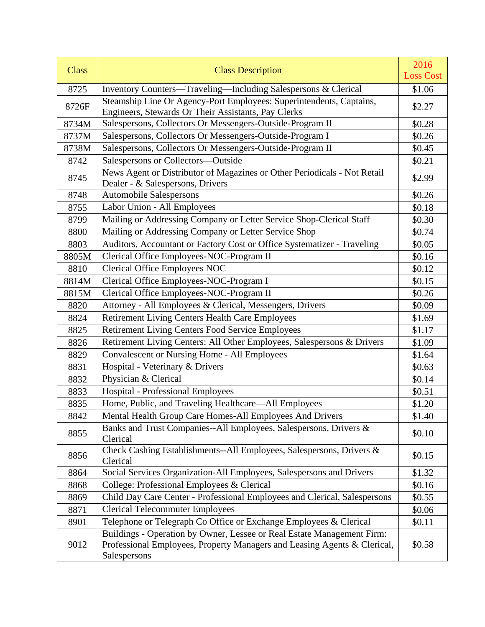| <b>Class</b> | <b>Class Description</b>                                                                                                                                           | 2016<br><b>Loss Cost</b> |
|--------------|--------------------------------------------------------------------------------------------------------------------------------------------------------------------|--------------------------|
| 8725         | Inventory Counters-Traveling-Including Salespersons & Clerical                                                                                                     | \$1.06                   |
| 8726F        | Steamship Line Or Agency-Port Employees: Superintendents, Captains,<br>Engineers, Stewards Or Their Assistants, Pay Clerks                                         | \$2.27                   |
| 8734M        | Salespersons, Collectors Or Messengers-Outside-Program II                                                                                                          | \$0.28                   |
| 8737M        | Salespersons, Collectors Or Messengers-Outside-Program I                                                                                                           | \$0.26                   |
| 8738M        | Salespersons, Collectors Or Messengers-Outside-Program II                                                                                                          | \$0.45                   |
| 8742         | Salespersons or Collectors-Outside                                                                                                                                 | \$0.21                   |
| 8745         | News Agent or Distributor of Magazines or Other Periodicals - Not Retail<br>Dealer - & Salespersons, Drivers                                                       | \$2.99                   |
| 8748         | <b>Automobile Salespersons</b>                                                                                                                                     | \$0.26                   |
| 8755         | Labor Union - All Employees                                                                                                                                        | \$0.18                   |
| 8799         | Mailing or Addressing Company or Letter Service Shop-Clerical Staff                                                                                                | \$0.30                   |
| 8800         | Mailing or Addressing Company or Letter Service Shop                                                                                                               | \$0.74                   |
| 8803         | Auditors, Accountant or Factory Cost or Office Systematizer - Traveling                                                                                            | \$0.05                   |
| 8805M        | Clerical Office Employees-NOC-Program II                                                                                                                           | \$0.16                   |
| 8810         | <b>Clerical Office Employees NOC</b>                                                                                                                               | \$0.12                   |
| 8814M        | Clerical Office Employees-NOC-Program I                                                                                                                            | \$0.15                   |
| 8815M        | Clerical Office Employees-NOC-Program II                                                                                                                           | \$0.26                   |
| 8820         | Attorney - All Employees & Clerical, Messengers, Drivers                                                                                                           | \$0.09                   |
| 8824         | <b>Retirement Living Centers Health Care Employees</b>                                                                                                             | \$1.69                   |
| 8825         | <b>Retirement Living Centers Food Service Employees</b>                                                                                                            | \$1.17                   |
| 8826         | Retirement Living Centers: All Other Employees, Salespersons & Drivers                                                                                             | \$1.09                   |
| 8829         | <b>Convalescent or Nursing Home - All Employees</b>                                                                                                                | \$1.64                   |
| 8831         | Hospital - Veterinary & Drivers                                                                                                                                    | \$0.63                   |
| 8832         | Physician & Clerical                                                                                                                                               | \$0.14                   |
| 8833         | Hospital - Professional Employees                                                                                                                                  | \$0.51                   |
| 8835         | Home, Public, and Traveling Healthcare—All Employees                                                                                                               | \$1.20                   |
| 8842         | Mental Health Group Care Homes-All Employees And Drivers                                                                                                           | \$1.40                   |
| 8855         | Banks and Trust Companies--All Employees, Salespersons, Drivers &<br>Clerical                                                                                      | \$0.10                   |
| 8856         | Check Cashing Establishments--All Employees, Salespersons, Drivers &<br>Clerical                                                                                   | \$0.15                   |
| 8864         | Social Services Organization-All Employees, Salespersons and Drivers                                                                                               | \$1.32                   |
| 8868         | College: Professional Employees & Clerical                                                                                                                         | \$0.16                   |
| 8869         | Child Day Care Center - Professional Employees and Clerical, Salespersons                                                                                          | \$0.55                   |
| 8871         | <b>Clerical Telecommuter Employees</b>                                                                                                                             | \$0.06                   |
| 8901         | Telephone or Telegraph Co Office or Exchange Employees & Clerical                                                                                                  | \$0.11                   |
| 9012         | Buildings - Operation by Owner, Lessee or Real Estate Management Firm:<br>Professional Employees, Property Managers and Leasing Agents & Clerical,<br>Salespersons | \$0.58                   |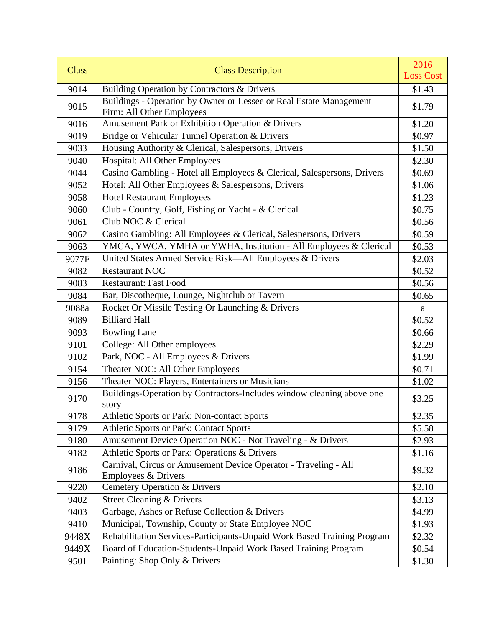| <b>Class</b> | <b>Class Description</b>                                                                        | 2016<br><b>Loss Cost</b> |
|--------------|-------------------------------------------------------------------------------------------------|--------------------------|
| 9014         | Building Operation by Contractors & Drivers                                                     | \$1.43                   |
| 9015         | Buildings - Operation by Owner or Lessee or Real Estate Management<br>Firm: All Other Employees | \$1.79                   |
| 9016         | Amusement Park or Exhibition Operation & Drivers                                                | \$1.20                   |
| 9019         | Bridge or Vehicular Tunnel Operation & Drivers                                                  | \$0.97                   |
| 9033         | Housing Authority & Clerical, Salespersons, Drivers                                             | \$1.50                   |
| 9040         | Hospital: All Other Employees                                                                   | \$2.30                   |
| 9044         | Casino Gambling - Hotel all Employees & Clerical, Salespersons, Drivers                         | \$0.69                   |
| 9052         | Hotel: All Other Employees & Salespersons, Drivers                                              | \$1.06                   |
| 9058         | <b>Hotel Restaurant Employees</b>                                                               | \$1.23                   |
| 9060         | Club - Country, Golf, Fishing or Yacht - & Clerical                                             | \$0.75                   |
| 9061         | Club NOC & Clerical                                                                             | \$0.56                   |
| 9062         | Casino Gambling: All Employees & Clerical, Salespersons, Drivers                                | \$0.59                   |
| 9063         | YMCA, YWCA, YMHA or YWHA, Institution - All Employees & Clerical                                | \$0.53                   |
| 9077F        | United States Armed Service Risk-All Employees & Drivers                                        | \$2.03                   |
| 9082         | <b>Restaurant NOC</b>                                                                           | \$0.52                   |
| 9083         | <b>Restaurant: Fast Food</b>                                                                    | \$0.56                   |
| 9084         | Bar, Discotheque, Lounge, Nightclub or Tavern                                                   | \$0.65                   |
| 9088a        | Rocket Or Missile Testing Or Launching & Drivers                                                | a                        |
| 9089         | <b>Billiard Hall</b>                                                                            | \$0.52                   |
| 9093         | <b>Bowling Lane</b>                                                                             | \$0.66                   |
| 9101         | College: All Other employees                                                                    | \$2.29                   |
| 9102         | Park, NOC - All Employees & Drivers                                                             | \$1.99                   |
| 9154         | Theater NOC: All Other Employees                                                                | \$0.71                   |
| 9156         | Theater NOC: Players, Entertainers or Musicians                                                 | \$1.02                   |
| 9170         | Buildings-Operation by Contractors-Includes window cleaning above one<br>story                  | \$3.25                   |
| 9178         | Athletic Sports or Park: Non-contact Sports                                                     | \$2.35                   |
| 9179         | <b>Athletic Sports or Park: Contact Sports</b>                                                  | \$5.58                   |
| 9180         | Amusement Device Operation NOC - Not Traveling - & Drivers                                      | \$2.93                   |
| 9182         | Athletic Sports or Park: Operations & Drivers                                                   | \$1.16                   |
| 9186         | Carnival, Circus or Amusement Device Operator - Traveling - All<br>Employees & Drivers          | \$9.32                   |
| 9220         | <b>Cemetery Operation &amp; Drivers</b>                                                         | \$2.10                   |
| 9402         | <b>Street Cleaning &amp; Drivers</b>                                                            | \$3.13                   |
| 9403         | Garbage, Ashes or Refuse Collection & Drivers                                                   | \$4.99                   |
| 9410         | Municipal, Township, County or State Employee NOC                                               | \$1.93                   |
| 9448X        | Rehabilitation Services-Participants-Unpaid Work Based Training Program                         | \$2.32                   |
| 9449X        | Board of Education-Students-Unpaid Work Based Training Program                                  | \$0.54                   |
| 9501         | Painting: Shop Only & Drivers                                                                   | \$1.30                   |